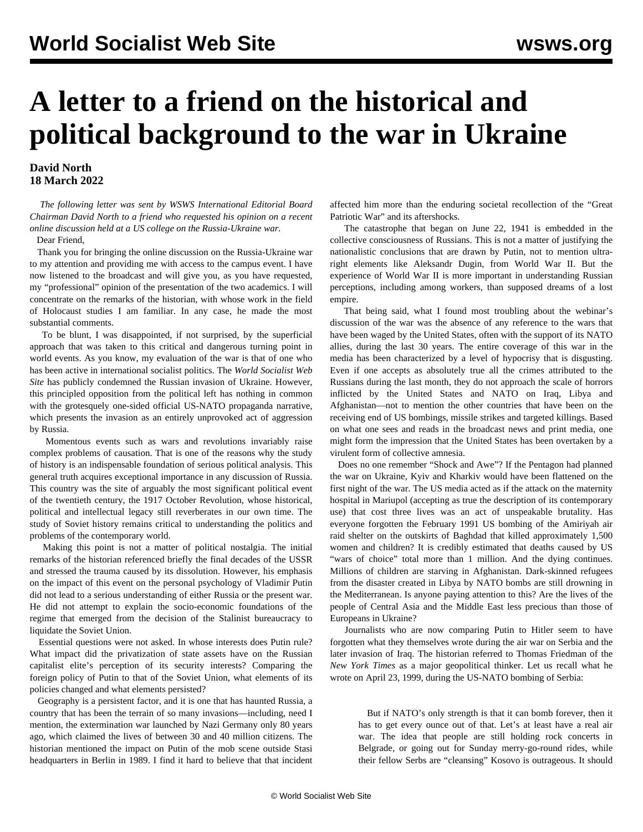## **A letter to a friend on the historical and political background to the war in Ukraine**

## **David North 18 March 2022**

 *The following letter was sent by WSWS International Editorial Board Chairman David North to a friend who requested his opinion on a recent online discussion held at a US college on the Russia-Ukraine war.*

## Dear Friend,

 Thank you for bringing the online discussion on the Russia-Ukraine war to my attention and providing me with access to the campus event. I have now listened to the broadcast and will give you, as you have requested, my "professional" opinion of the presentation of the two academics. I will concentrate on the remarks of the historian, with whose work in the field of Holocaust studies I am familiar. In any case, he made the most substantial comments.

 To be blunt, I was disappointed, if not surprised, by the superficial approach that was taken to this critical and dangerous turning point in world events. As you know, my evaluation of the war is that of one who has been active in international socialist politics. The *World Socialist Web Site* has publicly condemned the Russian invasion of Ukraine. However, this principled opposition from the political left has nothing in common with the grotesquely one-sided official US-NATO propaganda narrative, which presents the invasion as an entirely unprovoked act of aggression by Russia.

 Momentous events such as wars and revolutions invariably raise complex problems of causation. That is one of the reasons why the study of history is an indispensable foundation of serious political analysis. This general truth acquires exceptional importance in any discussion of Russia. This country was the site of arguably the most significant political event of the twentieth century, the 1917 October Revolution, whose historical, political and intellectual legacy still reverberates in our own time. The study of Soviet history remains critical to understanding the politics and problems of the contemporary world.

 Making this point is not a matter of political nostalgia. The initial remarks of the historian referenced briefly the final decades of the USSR and stressed the trauma caused by its dissolution. However, his emphasis on the impact of this event on the personal psychology of Vladimir Putin did not lead to a serious understanding of either Russia or the present war. He did not attempt to explain the socio-economic foundations of the regime that emerged from the decision of the Stalinist bureaucracy to liquidate the Soviet Union.

 Essential questions were not asked. In whose interests does Putin rule? What impact did the privatization of state assets have on the Russian capitalist elite's perception of its security interests? Comparing the foreign policy of Putin to that of the Soviet Union, what elements of its policies changed and what elements persisted?

 Geography is a persistent factor, and it is one that has haunted Russia, a country that has been the terrain of so many invasions—including, need I mention, the extermination war launched by Nazi Germany only 80 years ago, which claimed the lives of between 30 and 40 million citizens. The historian mentioned the impact on Putin of the mob scene outside Stasi headquarters in Berlin in 1989. I find it hard to believe that that incident affected him more than the enduring societal recollection of the "Great Patriotic War" and its aftershocks.

 The catastrophe that began on June 22, 1941 is embedded in the collective consciousness of Russians. This is not a matter of justifying the nationalistic conclusions that are drawn by Putin, not to mention ultraright elements like Aleksandr Dugin, from World War II. But the experience of World War II is more important in understanding Russian perceptions, including among workers, than supposed dreams of a lost empire.

 That being said, what I found most troubling about the webinar's discussion of the war was the absence of any reference to the wars that have been waged by the United States, often with the support of its NATO allies, during the last 30 years. The entire coverage of this war in the media has been characterized by a level of hypocrisy that is disgusting. Even if one accepts as absolutely true all the crimes attributed to the Russians during the last month, they do not approach the scale of horrors inflicted by the United States and NATO on Iraq, Libya and Afghanistan—not to mention the other countries that have been on the receiving end of US bombings, missile strikes and targeted killings. Based on what one sees and reads in the broadcast news and print media, one might form the impression that the United States has been overtaken by a virulent form of collective amnesia.

 Does no one remember "Shock and Awe"? If the Pentagon had planned the war on Ukraine, Kyiv and Kharkiv would have been flattened on the first night of the war. The US media acted as if the attack on the maternity hospital in Mariupol (accepting as true the description of its contemporary use) that cost three lives was an act of unspeakable brutality. Has everyone forgotten the February 1991 US bombing of the Amiriyah air raid shelter on the outskirts of Baghdad that killed approximately 1,500 women and children? It is credibly estimated that deaths caused by US "wars of choice" total more than 1 million. And the dying continues. Millions of children are starving in Afghanistan. Dark-skinned refugees from the disaster created in Libya by NATO bombs are still drowning in the Mediterranean. Is anyone paying attention to this? Are the lives of the people of Central Asia and the Middle East less precious than those of Europeans in Ukraine?

 Journalists who are now comparing Putin to Hitler seem to have forgotten what they themselves wrote during the air war on Serbia and the later invasion of Iraq. The historian referred to Thomas Friedman of the *New York Times* as a major geopolitical thinker. Let us recall what he wrote on April 23, 1999, during the US-NATO bombing of Serbia:

 But if NATO's only strength is that it can bomb forever, then it has to get every ounce out of that. Let's at least have a real air war. The idea that people are still holding rock concerts in Belgrade, or going out for Sunday merry-go-round rides, while their fellow Serbs are "cleansing" Kosovo is outrageous. It should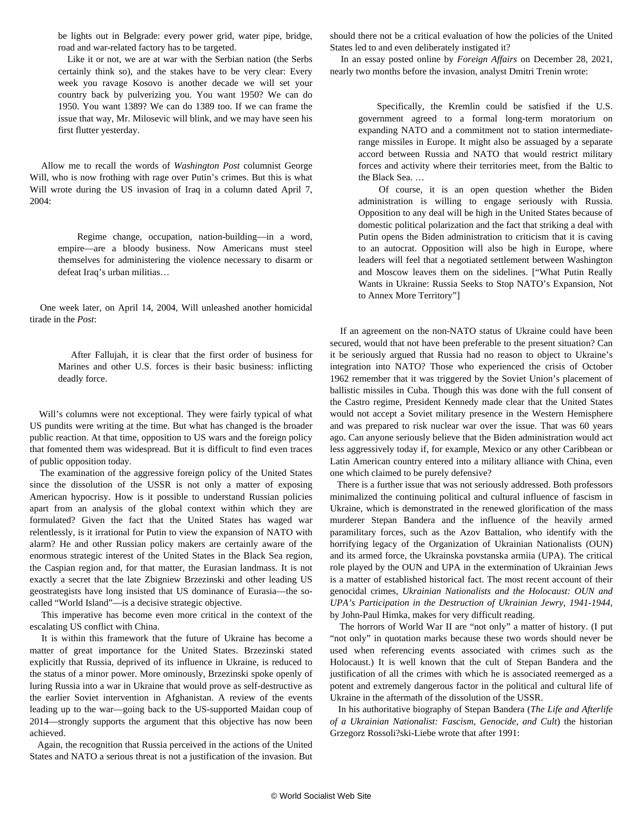be lights out in Belgrade: every power grid, water pipe, bridge, road and war-related factory has to be targeted.

 Like it or not, we are at war with the Serbian nation (the Serbs certainly think so), and the stakes have to be very clear: Every week you ravage Kosovo is another decade we will set your country back by pulverizing you. You want 1950? We can do 1950. You want 1389? We can do 1389 too. If we can frame the issue that way, Mr. Milosevic will blink, and we may have seen his first flutter yesterday.

 Allow me to recall the words of *Washington Post* columnist George Will, who is now frothing with rage over Putin's crimes. But this is what Will wrote during the US invasion of Iraq in a column dated April 7, 2004:

 Regime change, occupation, nation-building—in a word, empire—are a bloody business. Now Americans must steel themselves for administering the violence necessary to disarm or defeat Iraq's urban militias…

 One week later, on April 14, 2004, Will unleashed another homicidal tirade in the *Post*:

 After Fallujah, it is clear that the first order of business for Marines and other U.S. forces is their basic business: inflicting deadly force.

 Will's columns were not exceptional. They were fairly typical of what US pundits were writing at the time. But what has changed is the broader public reaction. At that time, opposition to US wars and the foreign policy that fomented them was widespread. But it is difficult to find even traces of public opposition today.

 The examination of the aggressive foreign policy of the United States since the dissolution of the USSR is not only a matter of exposing American hypocrisy. How is it possible to understand Russian policies apart from an analysis of the global context within which they are formulated? Given the fact that the United States has waged war relentlessly, is it irrational for Putin to view the expansion of NATO with alarm? He and other Russian policy makers are certainly aware of the enormous strategic interest of the United States in the Black Sea region, the Caspian region and, for that matter, the Eurasian landmass. It is not exactly a secret that the late Zbigniew Brzezinski and other leading US geostrategists have long insisted that US dominance of Eurasia—the socalled "World Island"—is a decisive strategic objective.

 This imperative has become even more critical in the context of the escalating US conflict with China.

 It is within this framework that the future of Ukraine has become a matter of great importance for the United States. Brzezinski stated explicitly that Russia, deprived of its influence in Ukraine, is reduced to the status of a minor power. More ominously, Brzezinski spoke openly of luring Russia into a war in Ukraine that would prove as self-destructive as the earlier Soviet intervention in Afghanistan. A review of the events leading up to the war—going back to the US-supported Maidan coup of 2014—strongly supports the argument that this objective has now been achieved.

 Again, the recognition that Russia perceived in the actions of the United States and NATO a serious threat is not a justification of the invasion. But should there not be a critical evaluation of how the policies of the United States led to and even deliberately instigated it?

 In an essay posted online by *Foreign Affairs* on December 28, 2021, nearly two months before the invasion, analyst Dmitri Trenin wrote:

 Specifically, the Kremlin could be satisfied if the U.S. government agreed to a formal long-term moratorium on expanding NATO and a commitment not to station intermediaterange missiles in Europe. It might also be assuaged by a separate accord between Russia and NATO that would restrict military forces and activity where their territories meet, from the Baltic to the Black Sea. …

 Of course, it is an open question whether the Biden administration is willing to engage seriously with Russia. Opposition to any deal will be high in the United States because of domestic political polarization and the fact that striking a deal with Putin opens the Biden administration to criticism that it is caving to an autocrat. Opposition will also be high in Europe, where leaders will feel that a negotiated settlement between Washington and Moscow leaves them on the sidelines. ["What Putin Really Wants in Ukraine: Russia Seeks to Stop NATO's Expansion, Not to Annex More Territory"]

 If an agreement on the non-NATO status of Ukraine could have been secured, would that not have been preferable to the present situation? Can it be seriously argued that Russia had no reason to object to Ukraine's integration into NATO? Those who experienced the crisis of October 1962 remember that it was triggered by the Soviet Union's placement of ballistic missiles in Cuba. Though this was done with the full consent of the Castro regime, President Kennedy made clear that the United States would not accept a Soviet military presence in the Western Hemisphere and was prepared to risk nuclear war over the issue. That was 60 years ago. Can anyone seriously believe that the Biden administration would act less aggressively today if, for example, Mexico or any other Caribbean or Latin American country entered into a military alliance with China, even one which claimed to be purely defensive?

 There is a further issue that was not seriously addressed. Both professors minimalized the continuing political and cultural influence of fascism in Ukraine, which is demonstrated in the renewed glorification of the mass murderer Stepan Bandera and the influence of the heavily armed paramilitary forces, such as the Azov Battalion, who identify with the horrifying legacy of the Organization of Ukrainian Nationalists (OUN) and its armed force, the Ukrainska povstanska armiia (UPA). The critical role played by the OUN and UPA in the extermination of Ukrainian Jews is a matter of established historical fact. The most recent account of their genocidal crimes, *Ukrainian Nationalists and the Holocaust: OUN and UPA's Participation in the Destruction of Ukrainian Jewry, 1941-1944*, by John-Paul Himka, makes for very difficult reading.

 The horrors of World War II are "not only" a matter of history. (I put "not only" in quotation marks because these two words should never be used when referencing events associated with crimes such as the Holocaust.) It is well known that the cult of Stepan Bandera and the justification of all the crimes with which he is associated reemerged as a potent and extremely dangerous factor in the political and cultural life of Ukraine in the aftermath of the dissolution of the USSR.

 In his authoritative biography of Stepan Bandera (*The Life and Afterlife of a Ukrainian Nationalist: Fascism, Genocide, and Cult*) the historian Grzegorz Rossoli?ski-Liebe wrote that after 1991: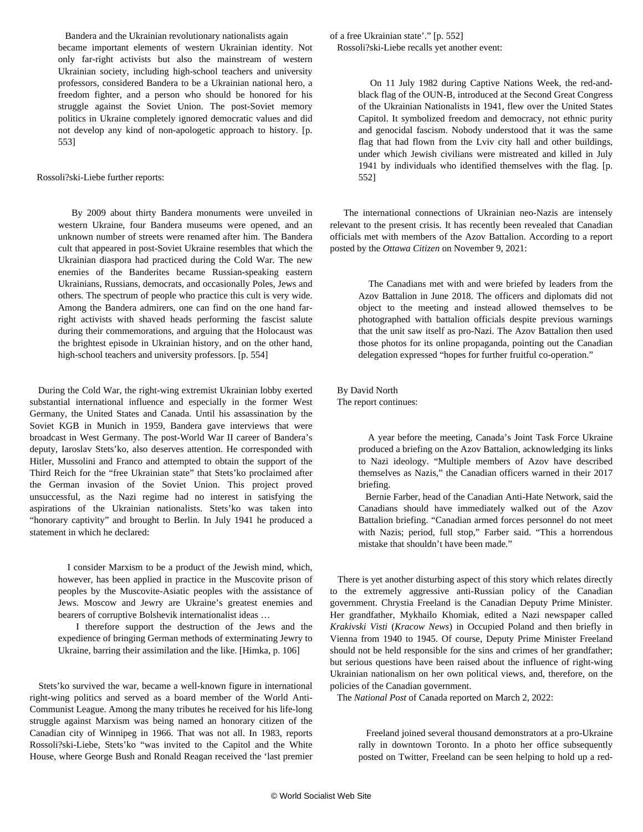Bandera and the Ukrainian revolutionary nationalists again became important elements of western Ukrainian identity. Not only far-right activists but also the mainstream of western Ukrainian society, including high-school teachers and university professors, considered Bandera to be a Ukrainian national hero, a freedom fighter, and a person who should be honored for his struggle against the Soviet Union. The post-Soviet memory politics in Ukraine completely ignored democratic values and did not develop any kind of non-apologetic approach to history. [p. 553]

## Rossoli?ski-Liebe further reports:

 By 2009 about thirty Bandera monuments were unveiled in western Ukraine, four Bandera museums were opened, and an unknown number of streets were renamed after him. The Bandera cult that appeared in post-Soviet Ukraine resembles that which the Ukrainian diaspora had practiced during the Cold War. The new enemies of the Banderites became Russian-speaking eastern Ukrainians, Russians, democrats, and occasionally Poles, Jews and others. The spectrum of people who practice this cult is very wide. Among the Bandera admirers, one can find on the one hand farright activists with shaved heads performing the fascist salute during their commemorations, and arguing that the Holocaust was the brightest episode in Ukrainian history, and on the other hand, high-school teachers and university professors. [p. 554]

 During the Cold War, the right-wing extremist Ukrainian lobby exerted substantial international influence and especially in the former West Germany, the United States and Canada. Until his assassination by the Soviet KGB in Munich in 1959, Bandera gave interviews that were broadcast in West Germany. The post-World War II career of Bandera's deputy, Iaroslav Stets'ko, also deserves attention. He corresponded with Hitler, Mussolini and Franco and attempted to obtain the support of the Third Reich for the "free Ukrainian state" that Stets'ko proclaimed after the German invasion of the Soviet Union. This project proved unsuccessful, as the Nazi regime had no interest in satisfying the aspirations of the Ukrainian nationalists. Stets'ko was taken into "honorary captivity" and brought to Berlin. In July 1941 he produced a statement in which he declared:

 I consider Marxism to be a product of the Jewish mind, which, however, has been applied in practice in the Muscovite prison of peoples by the Muscovite-Asiatic peoples with the assistance of Jews. Moscow and Jewry are Ukraine's greatest enemies and bearers of corruptive Bolshevik internationalist ideas …

 I therefore support the destruction of the Jews and the expedience of bringing German methods of exterminating Jewry to Ukraine, barring their assimilation and the like. [Himka, p. 106]

 Stets'ko survived the war, became a well-known figure in international right-wing politics and served as a board member of the World Anti-Communist League. Among the many tributes he received for his life-long struggle against Marxism was being named an honorary citizen of the Canadian city of Winnipeg in 1966. That was not all. In 1983, reports Rossoli?ski-Liebe, Stets'ko "was invited to the Capitol and the White House, where George Bush and Ronald Reagan received the 'last premier of a free Ukrainian state'." [p. 552] Rossoli?ski-Liebe recalls yet another event:

> On 11 July 1982 during Captive Nations Week, the red-andblack flag of the OUN-B, introduced at the Second Great Congress of the Ukrainian Nationalists in 1941, flew over the United States Capitol. It symbolized freedom and democracy, not ethnic purity and genocidal fascism. Nobody understood that it was the same flag that had flown from the Lviv city hall and other buildings, under which Jewish civilians were mistreated and killed in July 1941 by individuals who identified themselves with the flag. [p. 552]

 The international connections of Ukrainian neo-Nazis are intensely relevant to the present crisis. It has recently been revealed that Canadian officials met with members of the Azov Battalion. According to a [report](https://ottawacitizen.com/news/national/defence-watch/canadian-officials-who-met-with-ukrainian-unit-linked-to-neo-nazis-feared-exposure-by-news-media-documents) posted by the *Ottawa Citizen* on November 9, 2021:

 The Canadians met with and were briefed by leaders from the Azov Battalion in June 2018. The officers and diplomats did not object to the meeting and instead allowed themselves to be photographed with battalion officials despite previous warnings that the unit saw itself as pro-Nazi. The Azov Battalion then used those photos for its online propaganda, pointing out the Canadian delegation expressed "hopes for further fruitful co-operation."

 By David North The report continues:

> A year before the meeting, Canada's Joint Task Force Ukraine produced a briefing on the Azov Battalion, acknowledging its links to Nazi ideology. "Multiple members of Azov have described themselves as Nazis," the Canadian officers warned in their 2017 briefing.

> Bernie Farber, head of the Canadian Anti-Hate Network, said the Canadians should have immediately walked out of the Azov Battalion briefing. "Canadian armed forces personnel do not meet with Nazis; period, full stop," Farber said. "This a horrendous mistake that shouldn't have been made."

 There is yet another disturbing aspect of this story which relates directly to the extremely aggressive anti-Russian policy of the Canadian government. Chrystia Freeland is the Canadian Deputy Prime Minister. Her grandfather, Mykhailo Khomiak, edited a Nazi newspaper called *Krakivski Visti* (*Kracow News*) in Occupied Poland and then briefly in Vienna from 1940 to 1945. Of course, Deputy Prime Minister Freeland should not be held responsible for the sins and crimes of her grandfather; but serious questions have been raised about the influence of right-wing Ukrainian nationalism on her own political views, and, therefore, on the policies of the Canadian government.

The *National Post* of Canada reported on March 2, 2022:

 Freeland joined several thousand demonstrators at a pro-Ukraine rally in downtown Toronto. In a photo her office subsequently posted on Twitter, Freeland can be seen helping to hold up a red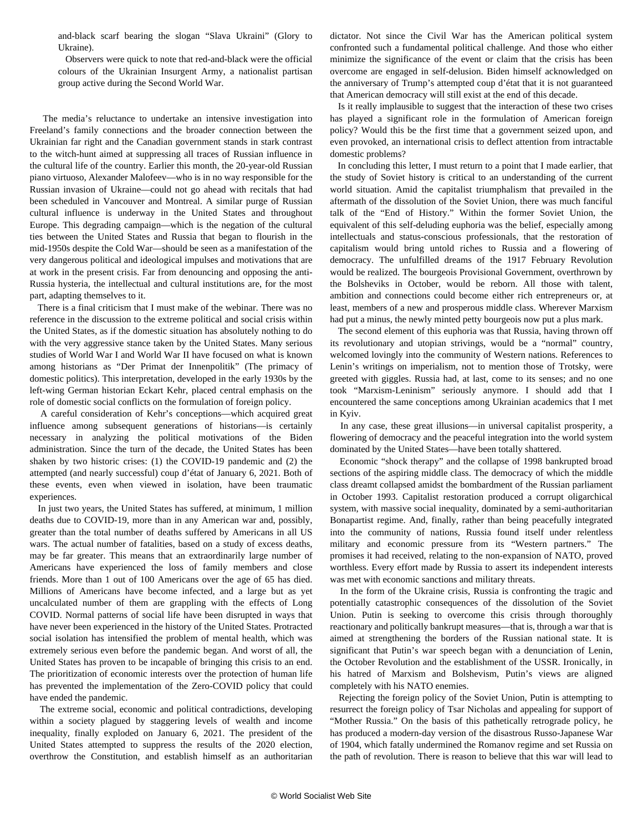and-black scarf bearing the slogan "Slava Ukraini" (Glory to Ukraine).

 Observers were quick to note that red-and-black were the official colours of the Ukrainian Insurgent Army, a nationalist partisan group active during the Second World War.

 The media's reluctance to undertake an intensive investigation into Freeland's family connections and the broader connection between the Ukrainian far right and the Canadian government stands in stark contrast to the witch-hunt aimed at suppressing all traces of Russian influence in the cultural life of the country. Earlier this month, the 20-year-old Russian piano virtuoso, Alexander Malofeev—who is in no way responsible for the Russian invasion of Ukraine—could not go ahead with recitals that had been scheduled in Vancouver and Montreal. A similar purge of Russian cultural influence is underway in the United States and throughout Europe. This degrading campaign—which is the negation of the cultural ties between the United States and Russia that began to flourish in the mid-1950s despite the Cold War—should be seen as a manifestation of the very dangerous political and ideological impulses and motivations that are at work in the present crisis. Far from denouncing and opposing the anti-Russia hysteria, the intellectual and cultural institutions are, for the most part, adapting themselves to it.

 There is a final criticism that I must make of the webinar. There was no reference in the discussion to the extreme political and social crisis within the United States, as if the domestic situation has absolutely nothing to do with the very aggressive stance taken by the United States. Many serious studies of World War I and World War II have focused on what is known among historians as "Der Primat der Innenpolitik" (The primacy of domestic politics). This interpretation, developed in the early 1930s by the left-wing German historian Eckart Kehr, placed central emphasis on the role of domestic social conflicts on the formulation of foreign policy.

 A careful consideration of Kehr's conceptions—which acquired great influence among subsequent generations of historians—is certainly necessary in analyzing the political motivations of the Biden administration. Since the turn of the decade, the United States has been shaken by two historic crises: (1) the COVID-19 pandemic and (2) the attempted (and nearly successful) coup d'état of January 6, 2021. Both of these events, even when viewed in isolation, have been traumatic experiences.

 In just two years, the United States has suffered, at minimum, 1 million deaths due to COVID-19, more than in any American war and, possibly, greater than the total number of deaths suffered by Americans in all US wars. The actual number of fatalities, based on a study of excess deaths, may be far greater. This means that an extraordinarily large number of Americans have experienced the loss of family members and close friends. More than 1 out of 100 Americans over the age of 65 has died. Millions of Americans have become infected, and a large but as yet uncalculated number of them are grappling with the effects of Long COVID. Normal patterns of social life have been disrupted in ways that have never been experienced in the history of the United States. Protracted social isolation has intensified the problem of mental health, which was extremely serious even before the pandemic began. And worst of all, the United States has proven to be incapable of bringing this crisis to an end. The prioritization of economic interests over the protection of human life has prevented the implementation of the Zero-COVID policy that could have ended the pandemic.

 The extreme social, economic and political contradictions, developing within a society plagued by staggering levels of wealth and income inequality, finally exploded on January 6, 2021. The president of the United States attempted to suppress the results of the 2020 election, overthrow the Constitution, and establish himself as an authoritarian dictator. Not since the Civil War has the American political system confronted such a fundamental political challenge. And those who either minimize the significance of the event or claim that the crisis has been overcome are engaged in self-delusion. Biden himself acknowledged on the anniversary of Trump's attempted coup d'état that it is not guaranteed that American democracy will still exist at the end of this decade.

 Is it really implausible to suggest that the interaction of these two crises has played a significant role in the formulation of American foreign policy? Would this be the first time that a government seized upon, and even provoked, an international crisis to deflect attention from intractable domestic problems?

 In concluding this letter, I must return to a point that I made earlier, that the study of Soviet history is critical to an understanding of the current world situation. Amid the capitalist triumphalism that prevailed in the aftermath of the dissolution of the Soviet Union, there was much fanciful talk of the "End of History." Within the former Soviet Union, the equivalent of this self-deluding euphoria was the belief, especially among intellectuals and status-conscious professionals, that the restoration of capitalism would bring untold riches to Russia and a flowering of democracy. The unfulfilled dreams of the 1917 February Revolution would be realized. The bourgeois Provisional Government, overthrown by the Bolsheviks in October, would be reborn. All those with talent, ambition and connections could become either rich entrepreneurs or, at least, members of a new and prosperous middle class. Wherever Marxism had put a minus, the newly minted petty bourgeois now put a plus mark.

 The second element of this euphoria was that Russia, having thrown off its revolutionary and utopian strivings, would be a "normal" country, welcomed lovingly into the community of Western nations. References to Lenin's writings on imperialism, not to mention those of Trotsky, were greeted with giggles. Russia had, at last, come to its senses; and no one took "Marxism-Leninism" seriously anymore. I should add that I encountered the same conceptions among Ukrainian academics that I met in Kyiv.

 In any case, these great illusions—in universal capitalist prosperity, a flowering of democracy and the peaceful integration into the world system dominated by the United States—have been totally shattered.

 Economic "shock therapy" and the collapse of 1998 bankrupted broad sections of the aspiring middle class. The democracy of which the middle class dreamt collapsed amidst the bombardment of the Russian parliament in October 1993. Capitalist restoration produced a corrupt oligarchical system, with massive social inequality, dominated by a semi-authoritarian Bonapartist regime. And, finally, rather than being peacefully integrated into the community of nations, Russia found itself under relentless military and economic pressure from its "Western partners." The promises it had received, relating to the non-expansion of NATO, proved worthless. Every effort made by Russia to assert its independent interests was met with economic sanctions and military threats.

 In the form of the Ukraine crisis, Russia is confronting the tragic and potentially catastrophic consequences of the dissolution of the Soviet Union. Putin is seeking to overcome this crisis through thoroughly reactionary and politically bankrupt measures—that is, through a war that is aimed at strengthening the borders of the Russian national state. It is significant that Putin's war speech began with a denunciation of Lenin, the October Revolution and the establishment of the USSR. Ironically, in his hatred of Marxism and Bolshevism, Putin's views are aligned completely with his NATO enemies.

 Rejecting the foreign policy of the Soviet Union, Putin is attempting to resurrect the foreign policy of Tsar Nicholas and appealing for support of "Mother Russia." On the basis of this pathetically retrograde policy, he has produced a modern-day version of the disastrous Russo-Japanese War of 1904, which fatally undermined the Romanov regime and set Russia on the path of revolution. There is reason to believe that this war will lead to